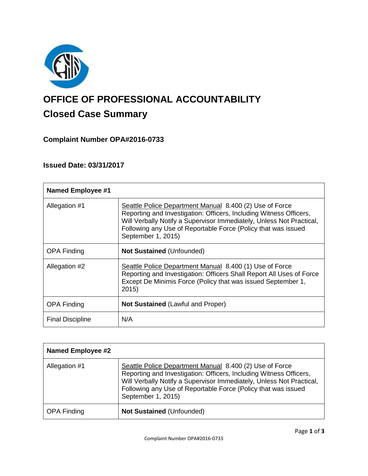

# **OFFICE OF PROFESSIONAL ACCOUNTABILITY Closed Case Summary**

## **Complaint Number OPA#2016-0733**

### **Issued Date: 03/31/2017**

| <b>Named Employee #1</b> |                                                                                                                                                                                                                                                                                              |
|--------------------------|----------------------------------------------------------------------------------------------------------------------------------------------------------------------------------------------------------------------------------------------------------------------------------------------|
| Allegation #1            | Seattle Police Department Manual 8.400 (2) Use of Force<br>Reporting and Investigation: Officers, Including Witness Officers,<br>Will Verbally Notify a Supervisor Immediately, Unless Not Practical,<br>Following any Use of Reportable Force (Policy that was issued<br>September 1, 2015) |
| <b>OPA Finding</b>       | <b>Not Sustained (Unfounded)</b>                                                                                                                                                                                                                                                             |
| Allegation #2            | Seattle Police Department Manual 8.400 (1) Use of Force<br>Reporting and Investigation: Officers Shall Report All Uses of Force<br>Except De Minimis Force (Policy that was issued September 1,<br>2015                                                                                      |
| <b>OPA Finding</b>       | <b>Not Sustained (Lawful and Proper)</b>                                                                                                                                                                                                                                                     |
| <b>Final Discipline</b>  | N/A                                                                                                                                                                                                                                                                                          |

| <b>Named Employee #2</b> |                                                                                                                                                                                                                                                                                              |
|--------------------------|----------------------------------------------------------------------------------------------------------------------------------------------------------------------------------------------------------------------------------------------------------------------------------------------|
| Allegation #1            | Seattle Police Department Manual 8.400 (2) Use of Force<br>Reporting and Investigation: Officers, Including Witness Officers,<br>Will Verbally Notify a Supervisor Immediately, Unless Not Practical,<br>Following any Use of Reportable Force (Policy that was issued<br>September 1, 2015) |
| <b>OPA Finding</b>       | <b>Not Sustained (Unfounded)</b>                                                                                                                                                                                                                                                             |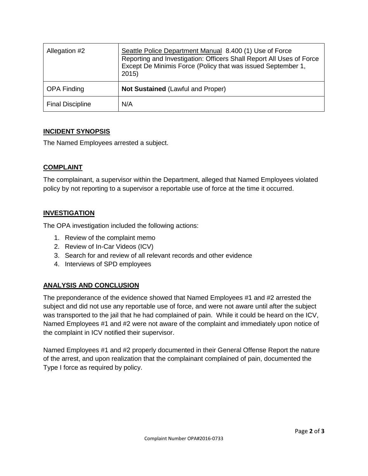| Allegation #2           | Seattle Police Department Manual 8.400 (1) Use of Force<br>Reporting and Investigation: Officers Shall Report All Uses of Force<br>Except De Minimis Force (Policy that was issued September 1,<br>2015) |
|-------------------------|----------------------------------------------------------------------------------------------------------------------------------------------------------------------------------------------------------|
| <b>OPA Finding</b>      | <b>Not Sustained (Lawful and Proper)</b>                                                                                                                                                                 |
| <b>Final Discipline</b> | N/A                                                                                                                                                                                                      |

#### **INCIDENT SYNOPSIS**

The Named Employees arrested a subject.

#### **COMPLAINT**

The complainant, a supervisor within the Department, alleged that Named Employees violated policy by not reporting to a supervisor a reportable use of force at the time it occurred.

#### **INVESTIGATION**

The OPA investigation included the following actions:

- 1. Review of the complaint memo
- 2. Review of In-Car Videos (ICV)
- 3. Search for and review of all relevant records and other evidence
- 4. Interviews of SPD employees

#### **ANALYSIS AND CONCLUSION**

The preponderance of the evidence showed that Named Employees #1 and #2 arrested the subject and did not use any reportable use of force, and were not aware until after the subject was transported to the jail that he had complained of pain. While it could be heard on the ICV, Named Employees #1 and #2 were not aware of the complaint and immediately upon notice of the complaint in ICV notified their supervisor.

Named Employees #1 and #2 properly documented in their General Offense Report the nature of the arrest, and upon realization that the complainant complained of pain, documented the Type I force as required by policy.